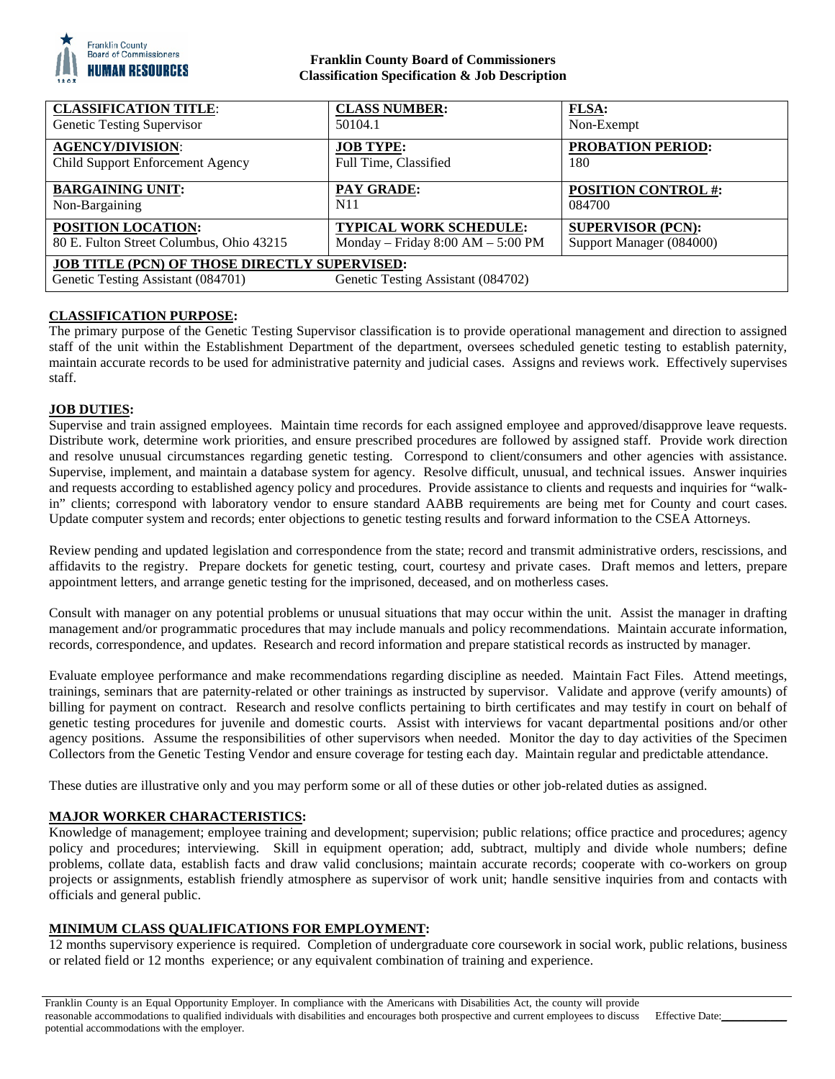

### **Franklin County Board of Commissioners Classification Specification & Job Description**

| <b>CLASSIFICATION TITLE:</b>                                                                                                     | <b>CLASS NUMBER:</b>              | <b>FLSA:</b>               |
|----------------------------------------------------------------------------------------------------------------------------------|-----------------------------------|----------------------------|
| Genetic Testing Supervisor                                                                                                       | 50104.1                           | Non-Exempt                 |
| <b>AGENCY/DIVISION:</b>                                                                                                          | <b>JOB TYPE:</b>                  | <b>PROBATION PERIOD:</b>   |
| Child Support Enforcement Agency                                                                                                 | Full Time, Classified             | 180                        |
| <b>BARGAINING UNIT:</b>                                                                                                          | <b>PAY GRADE:</b>                 | <b>POSITION CONTROL #:</b> |
| Non-Bargaining                                                                                                                   | N <sub>1</sub> 1                  | 084700                     |
| POSITION LOCATION:                                                                                                               | TYPICAL WORK SCHEDULE:            | <b>SUPERVISOR (PCN):</b>   |
| 80 E. Fulton Street Columbus, Ohio 43215                                                                                         | Monday - Friday 8:00 AM - 5:00 PM | Support Manager (084000)   |
| <b>JOB TITLE (PCN) OF THOSE DIRECTLY SUPERVISED:</b><br>Genetic Testing Assistant (084701)<br>Genetic Testing Assistant (084702) |                                   |                            |

# **CLASSIFICATION PURPOSE:**

The primary purpose of the Genetic Testing Supervisor classification is to provide operational management and direction to assigned staff of the unit within the Establishment Department of the department, oversees scheduled genetic testing to establish paternity, maintain accurate records to be used for administrative paternity and judicial cases. Assigns and reviews work. Effectively supervises staff.

## **JOB DUTIES:**

Supervise and train assigned employees. Maintain time records for each assigned employee and approved/disapprove leave requests. Distribute work, determine work priorities, and ensure prescribed procedures are followed by assigned staff. Provide work direction and resolve unusual circumstances regarding genetic testing. Correspond to client/consumers and other agencies with assistance. Supervise, implement, and maintain a database system for agency. Resolve difficult, unusual, and technical issues. Answer inquiries and requests according to established agency policy and procedures. Provide assistance to clients and requests and inquiries for "walkin" clients; correspond with laboratory vendor to ensure standard AABB requirements are being met for County and court cases. Update computer system and records; enter objections to genetic testing results and forward information to the CSEA Attorneys.

Review pending and updated legislation and correspondence from the state; record and transmit administrative orders, rescissions, and affidavits to the registry. Prepare dockets for genetic testing, court, courtesy and private cases. Draft memos and letters, prepare appointment letters, and arrange genetic testing for the imprisoned, deceased, and on motherless cases.

Consult with manager on any potential problems or unusual situations that may occur within the unit. Assist the manager in drafting management and/or programmatic procedures that may include manuals and policy recommendations. Maintain accurate information, records, correspondence, and updates. Research and record information and prepare statistical records as instructed by manager.

Evaluate employee performance and make recommendations regarding discipline as needed. Maintain Fact Files. Attend meetings, trainings, seminars that are paternity-related or other trainings as instructed by supervisor. Validate and approve (verify amounts) of billing for payment on contract. Research and resolve conflicts pertaining to birth certificates and may testify in court on behalf of genetic testing procedures for juvenile and domestic courts. Assist with interviews for vacant departmental positions and/or other agency positions. Assume the responsibilities of other supervisors when needed. Monitor the day to day activities of the Specimen Collectors from the Genetic Testing Vendor and ensure coverage for testing each day. Maintain regular and predictable attendance.

These duties are illustrative only and you may perform some or all of these duties or other job-related duties as assigned.

# **MAJOR WORKER CHARACTERISTICS:**

Knowledge of management; employee training and development; supervision; public relations; office practice and procedures; agency policy and procedures; interviewing. Skill in equipment operation; add, subtract, multiply and divide whole numbers; define problems, collate data, establish facts and draw valid conclusions; maintain accurate records; cooperate with co-workers on group projects or assignments, establish friendly atmosphere as supervisor of work unit; handle sensitive inquiries from and contacts with officials and general public.

# **MINIMUM CLASS QUALIFICATIONS FOR EMPLOYMENT:**

12 months supervisory experience is required. Completion of undergraduate core coursework in social work, public relations, business or related field or 12 months experience; or any equivalent combination of training and experience.

Franklin County is an Equal Opportunity Employer. In compliance with the Americans with Disabilities Act, the county will provide reasonable accommodations to qualified individuals with disabilities and encourages both prospective and current employees to discuss potential accommodations with the employer. Effective Date: